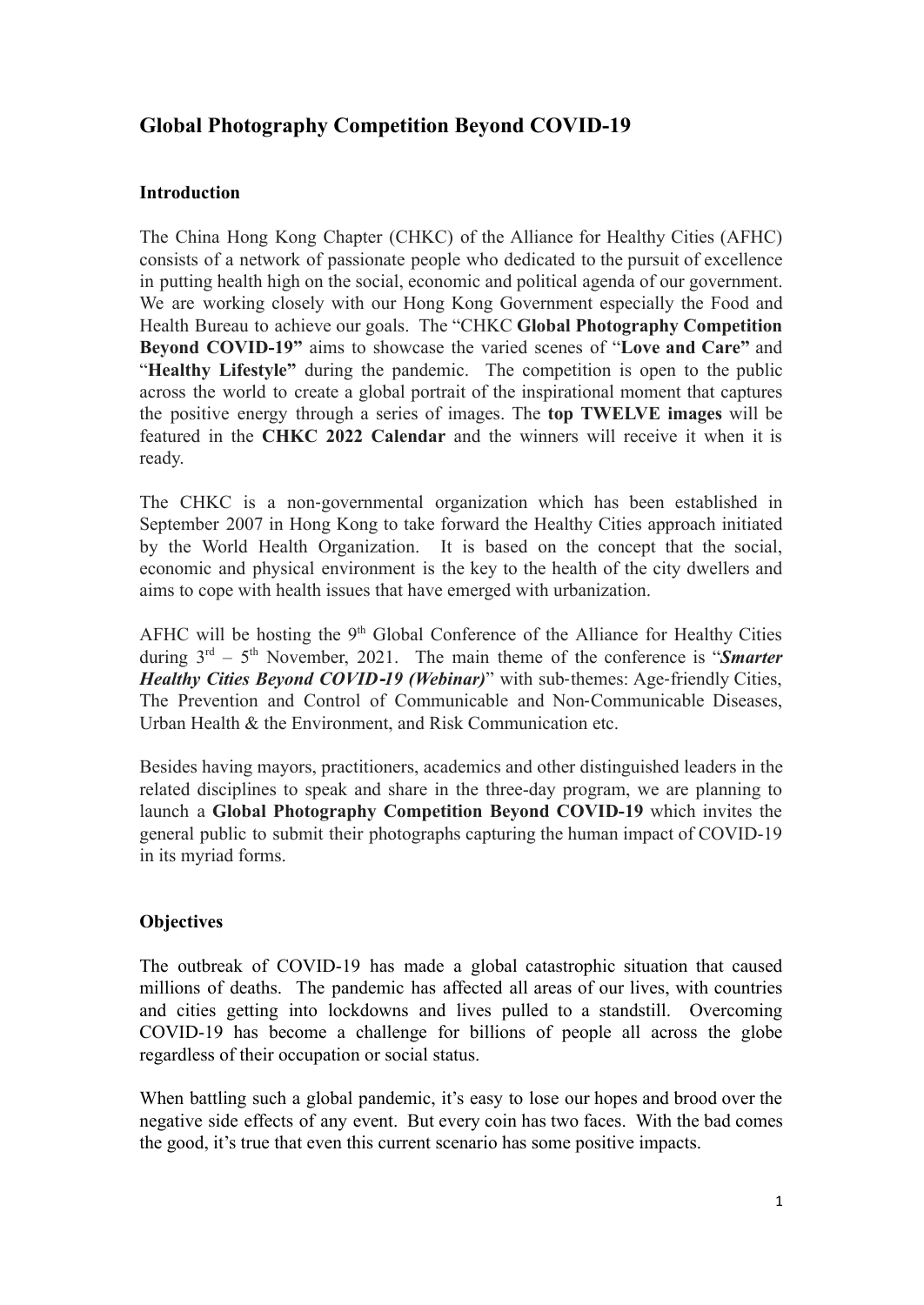# **Global Photography Competition Beyond COVID-19**

## **Introduction**

The China Hong Kong Chapter (CHKC) of the Alliance for Healthy Cities (AFHC) consists of a network of passionate people who dedicated to the pursuit of excellence in putting health high on the social, economic and political agenda of our government. We are working closely with our Hong Kong Government especially the Food and Health Bureau to achieve our goals. The "CHKC **Global Photography Competition Beyond COVID-19"** aims to showcase the varied scenes of "**Love and Care"** and "**Healthy Lifestyle"** during the pandemic. The competition is open to the public across the world to create a global portrait of the inspirational moment that captures the positive energy through a series of images. The **top TWELVE images** will be featured in the **CHKC 2022 Calendar** and the winners will receive it when it is ready.

The CHKC is a non‐governmental organization which has been established in September 2007 in Hong Kong to take forward the Healthy Cities approach initiated by the World Health Organization. It is based on the concept that the social, economic and physical environment is the key to the health of the city dwellers and aims to cope with health issues that have emerged with urbanization.

AFHC will be hosting the  $9<sup>th</sup>$  Global Conference of the Alliance for Healthy Cities during  $3<sup>rd</sup> - 5<sup>th</sup>$  November, 2021. The main theme of the conference is "*Smarter Healthy Cities Beyond COVID*‐*19 (Webinar)*" with sub‐themes: Age‐friendly Cities, The Prevention and Control of Communicable and Non‐Communicable Diseases, Urban Health & the Environment, and Risk Communication etc.

Besides having mayors, practitioners, academics and other distinguished leaders in the related disciplines to speak and share in the three-day program, we are planning to launch a **Global Photography Competition Beyond COVID-19** which invites the general public to submit their photographs capturing the human impact of COVID-19 in its myriad forms.

## **Objectives**

The outbreak of COVID-19 has made a global catastrophic situation that caused millions of deaths. The pandemic has affected all areas of our lives, with countries and cities getting into lockdowns and lives pulled to a standstill. Overcoming COVID-19 has become a challenge for billions of people all across the globe regardless of their occupation or social status.

When battling such a global pandemic, it's easy to lose our hopes and brood over the negative side effects of any event. But every coin has two faces. With the bad comes the good, it's true that even this current scenario has some positive impacts.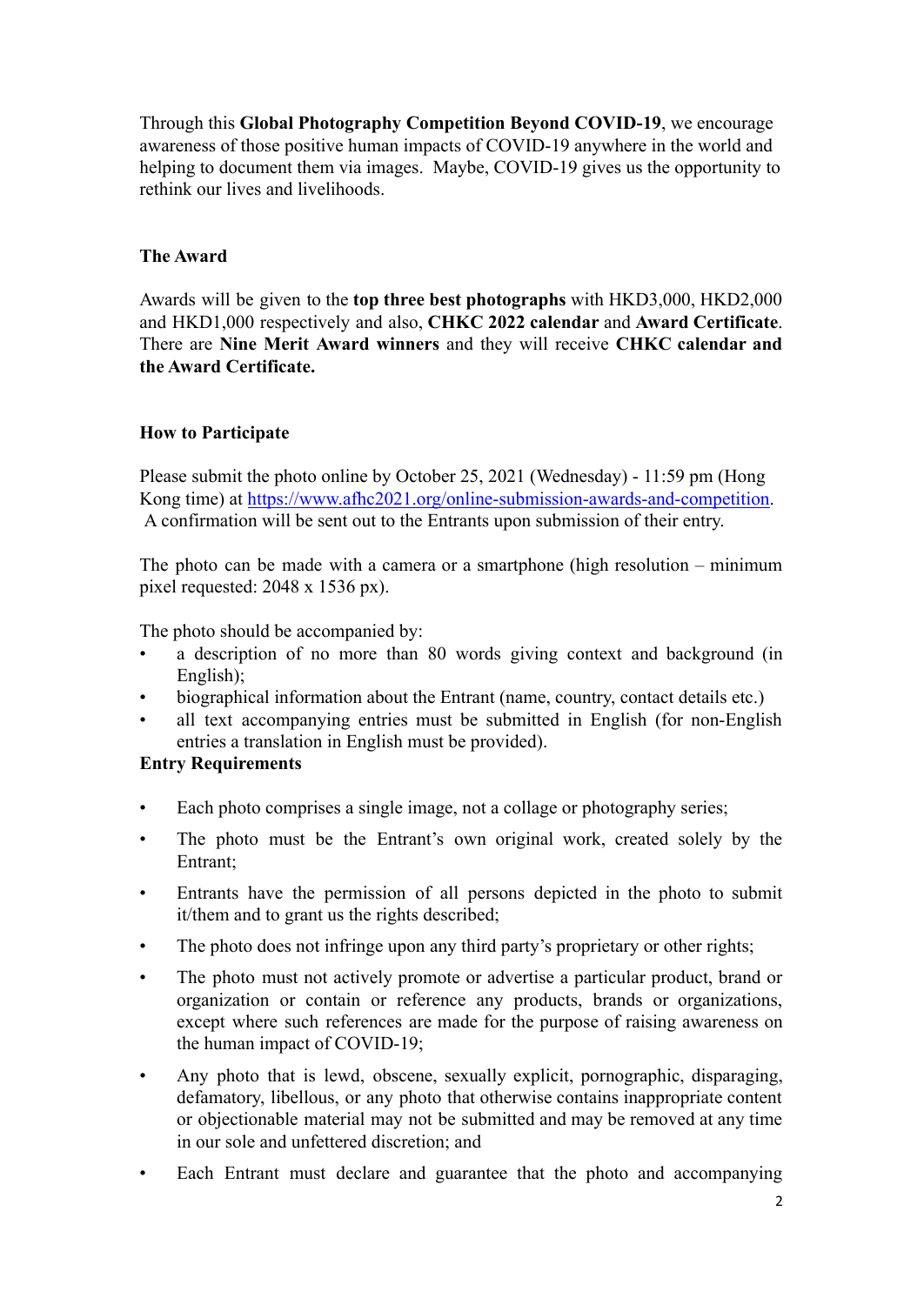Through this **Global Photography Competition Beyond COVID-19**, we encourage awareness of those positive human impacts of COVID-19 anywhere in the world and helping to document them via images. Maybe, COVID-19 gives us the opportunity to rethink our lives and livelihoods.

#### **The Award**

Awards will be given to the **top three best photographs** with HKD3,000, HKD2,000 and HKD1,000 respectively and also, **CHKC 2022 calendar** and **Award Certificate**. There are **Nine Merit Award winners** and they will receive **CHKC calendar and the Award Certificate.**

### **How to Participate**

Please submit the photo online by October 25, 2021 (Wednesday) - 11:59 pm (Hong Kong time) at [https://www.afhc2021.org/online-submission-awards-and-competition.](https://www.afhc2021.org/online-submission-awards-and-competition) A confirmation will be sent out to the Entrants upon submission of their entry.

The photo can be made with a camera or a smartphone (high resolution – minimum pixel requested: 2048 x 1536 px).

The photo should be accompanied by:

- a description of no more than 80 words giving context and background (in English);
- biographical information about the Entrant (name, country, contact details etc.)
- all text accompanying entries must be submitted in English (for non-English entries a translation in English must be provided).

#### **Entry Requirements**

- Each photo comprises a single image, not a collage or photography series;
- The photo must be the Entrant's own original work, created solely by the Entrant;
- Entrants have the permission of all persons depicted in the photo to submit it/them and to grant us the rights described;
- The photo does not infringe upon any third party's proprietary or other rights;
- The photo must not actively promote or advertise a particular product, brand or organization or contain or reference any products, brands or organizations, except where such references are made for the purpose of raising awareness on the human impact of COVID-19;
- Any photo that is lewd, obscene, sexually explicit, pornographic, disparaging, defamatory, libellous, or any photo that otherwise contains inappropriate content or objectionable material may not be submitted and may be removed at any time in our sole and unfettered discretion; and
- Each Entrant must declare and guarantee that the photo and accompanying